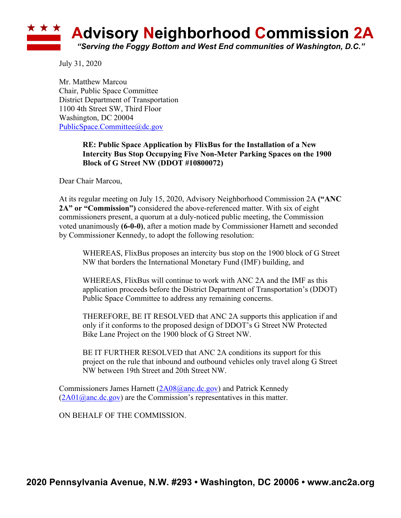## **Advisory Neighborhood Commission 2A** *"Serving the Foggy Bottom and West End communities of Washington, D.C."*

July 31, 2020

Mr. Matthew Marcou Chair, Public Space Committee District Department of Transportation 1100 4th Street SW, Third Floor Washington, DC 20004 PublicSpace.Committee@dc.gov

## **RE: Public Space Application by FlixBus for the Installation of a New Intercity Bus Stop Occupying Five Non-Meter Parking Spaces on the 1900 Block of G Street NW (DDOT #10800072)**

Dear Chair Marcou,

At its regular meeting on July 15, 2020, Advisory Neighborhood Commission 2A **("ANC 2A" or "Commission")** considered the above-referenced matter. With six of eight commissioners present, a quorum at a duly-noticed public meeting, the Commission voted unanimously **(6-0-0)**, after a motion made by Commissioner Harnett and seconded by Commissioner Kennedy, to adopt the following resolution:

WHEREAS, FlixBus proposes an intercity bus stop on the 1900 block of G Street NW that borders the International Monetary Fund (IMF) building, and

WHEREAS, FlixBus will continue to work with ANC 2A and the IMF as this application proceeds before the District Department of Transportation's (DDOT) Public Space Committee to address any remaining concerns.

THEREFORE, BE IT RESOLVED that ANC 2A supports this application if and only if it conforms to the proposed design of DDOT's G Street NW Protected Bike Lane Project on the 1900 block of G Street NW.

BE IT FURTHER RESOLVED that ANC 2A conditions its support for this project on the rule that inbound and outbound vehicles only travel along G Street NW between 19th Street and 20th Street NW.

Commissioners James Harnett (2A08@anc.dc.gov) and Patrick Kennedy  $(2A01@anc.de.gov)$  are the Commission's representatives in this matter.

ON BEHALF OF THE COMMISSION.